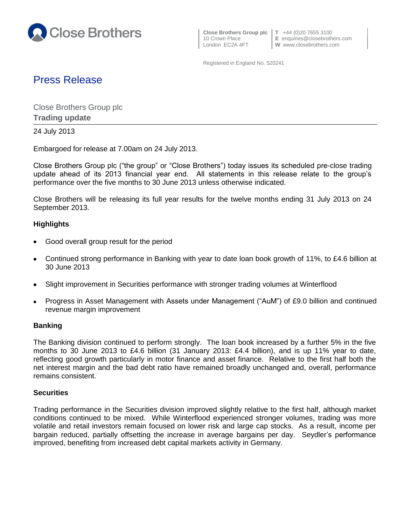

 **Close Brothers Group plc T** +44 (0)20 7655 3100 London EC2A 4FT **W** www.closebrothers.com

10 Crown Place **E** enquiries@closebrothers.com

Registered in England No. 520241

# Press Release

Close Brothers Group plc **Trading update**

24 July 2013

Embargoed for release at 7.00am on 24 July 2013.

Close Brothers Group plc ("the group" or "Close Brothers") today issues its scheduled pre-close trading update ahead of its 2013 financial year end. All statements in this release relate to the group's performance over the five months to 30 June 2013 unless otherwise indicated.

Close Brothers will be releasing its full year results for the twelve months ending 31 July 2013 on 24 September 2013.

## **Highlights**

- Good overall group result for the period
- Continued strong performance in Banking with year to date loan book growth of 11%, to £4.6 billion at 30 June 2013
- Slight improvement in Securities performance with stronger trading volumes at Winterflood  $\bullet$
- Progress in Asset Management with Assets under Management ("AuM") of £9.0 billion and continued revenue margin improvement

## **Banking**

The Banking division continued to perform strongly. The loan book increased by a further 5% in the five months to 30 June 2013 to £4.6 billion (31 January 2013: £4.4 billion), and is up 11% year to date, reflecting good growth particularly in motor finance and asset finance. Relative to the first half both the net interest margin and the bad debt ratio have remained broadly unchanged and, overall, performance remains consistent.

## **Securities**

Trading performance in the Securities division improved slightly relative to the first half, although market conditions continued to be mixed. While Winterflood experienced stronger volumes, trading was more volatile and retail investors remain focused on lower risk and large cap stocks. As a result, income per bargain reduced, partially offsetting the increase in average bargains per day. Seydler's performance improved, benefiting from increased debt capital markets activity in Germany.